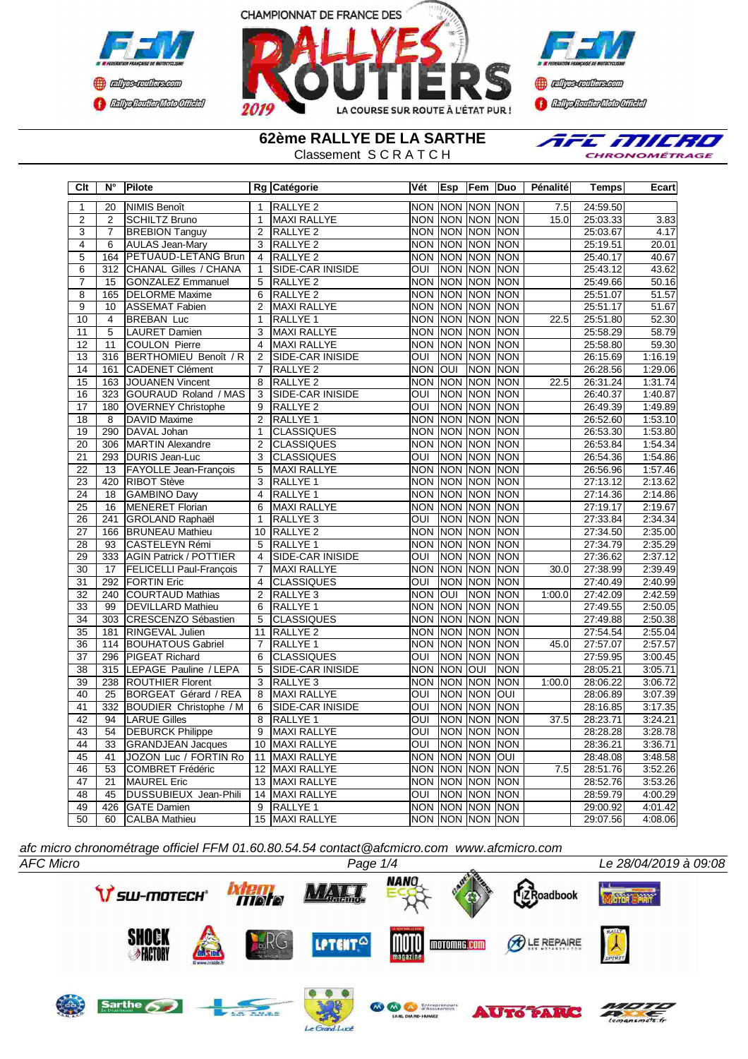



**Confederation Complementation** 

**62ème RALLYE DE LA SARTHE** Classement S C R A T C H



| $\overline{C}$ It | $\overline{\mathsf{N}^{\circ}}$ | <b>Pilote</b>                  |                 | Rg Catégorie            | Vét                     | Esp        | Fem             | lDuo           | <b>Pénalité</b>  | <b>Temps</b> | Ecart   |
|-------------------|---------------------------------|--------------------------------|-----------------|-------------------------|-------------------------|------------|-----------------|----------------|------------------|--------------|---------|
| $\overline{1}$    | $\overline{20}$                 | <b>NIMIS Benoît</b>            | $\mathbf{1}$    | RALLYE <sub>2</sub>     | <b>NON</b>              |            | NON NON NON     |                | 7.5              | 24:59.50     |         |
| $\overline{2}$    | $\overline{2}$                  | <b>SCHILTZ Bruno</b>           | $\mathbf{1}$    | <b>MAXI RALLYE</b>      | <b>NON</b>              | <b>NON</b> | NON NON         |                | 15.0             | 25:03.33     | 3.83    |
| 3                 | $\overline{7}$                  | <b>BREBION Tanguy</b>          | 2               | RALLYE <sub>2</sub>     | <b>NON</b>              |            | NON NON NON     |                |                  | 25:03.67     | 4.17    |
| $\overline{4}$    | 6                               | <b>AULAS Jean-Mary</b>         | 3               | RALLYE <sub>2</sub>     | <b>NON</b>              | <b>NON</b> | <b>NON</b>      | <b>NON</b>     |                  | 25:19.51     | 20.01   |
| $\overline{5}$    | 164                             | PETUAUD-LETANG Brun            | $\overline{4}$  | RALLYE <sub>2</sub>     | <b>NON</b>              | NON        |                 | NON INON       |                  | 25:40.17     | 40.67   |
| $\overline{6}$    | $\overline{312}$                | <b>CHANAL Gilles / CHANA</b>   | 1               | SIDE-CAR INISIDE        | OUI                     | <b>NON</b> | <b>NON</b>      | <b>NON</b>     |                  | 25:43.12     | 43.62   |
| $\overline{7}$    | 15                              | <b>GONZALEZ Emmanuel</b>       | 5               | RALLYE <sub>2</sub>     | <b>NON</b>              | <b>NON</b> | NON NON         |                |                  | 25:49.66     | 50.16   |
| $\overline{8}$    | 165                             | <b>DELORME Maxime</b>          | 6               | RALLYE <sub>2</sub>     | <b>NON</b>              | <b>NON</b> | <b>NON</b>      | <b>NON</b>     |                  | 25:51.07     | 51.57   |
| $\overline{9}$    | 10                              | <b>ASSEMAT Fabien</b>          | 2               | <b>MAXI RALLYE</b>      | <b>NON</b>              |            | <b>NON NON</b>  | <b>NON</b>     |                  | 25:51.17     | 51.67   |
| $\overline{10}$   | $\overline{4}$                  | <b>BREBAN Luc</b>              | $\mathbf{1}$    | <b>RALLYE 1</b>         | <b>NON</b>              | <b>NON</b> | <b>NON</b>      | <b>NON</b>     | 22.5             | 25:51.80     | 52.30   |
| $\overline{11}$   | $\overline{5}$                  | <b>LAURET Damien</b>           | $\overline{3}$  | <b>MAXI RALLYE</b>      | <b>NON</b>              | <b>NON</b> | <b>NON</b>      | <b>NON</b>     |                  | 25:58.29     | 58.79   |
| 12                | 11                              | <b>COULON Pierre</b>           | $\overline{4}$  | <b>MAXI RALLYE</b>      | <b>NON</b>              |            | NON NON         | <b>NON</b>     |                  | 25:58.80     | 59.30   |
| 13                | 316                             | BERTHOMIEU Benoît / R          | $\overline{2}$  | SIDE-CAR INISIDE        | $\overline{\text{C}}$   | <b>NON</b> | <b>NON</b>      | <b>NON</b>     |                  | 26:15.69     | 1:16.19 |
| 14                | 161                             | <b>CADENET Clément</b>         | $\overline{7}$  | RALLYE <sub>2</sub>     | <b>NON</b>              | loni       | <b>NON</b>      | <b>NON</b>     |                  | 26:28.56     | 1:29.06 |
| 15                | 163                             | <b>JOUANEN Vincent</b>         | 8               | RALLYE <sub>2</sub>     | <b>NON</b>              | INON       | <b>NON</b>      | <b>NON</b>     | 22.5             | 26:31.24     | 1:31.74 |
| 16                | 323                             | <b>GOURAUD Roland / MAS</b>    | 3               | SIDE-CAR INISIDE        | $\overline{\text{C}}$   | <b>NON</b> | <b>NON</b>      | <b>NON</b>     |                  | 26:40.37     | 1:40.87 |
| 17                | 180                             | <b>OVERNEY Christophe</b>      | 9               | RALLYE <sub>2</sub>     | ОUІ                     | <b>NON</b> | <b>NON</b>      | <b>NON</b>     |                  | 26:49.39     | 1:49.89 |
| $\overline{18}$   | 8                               | DAVID Maxime                   | 2               | RALLYE <sub>1</sub>     | <b>NON</b>              |            | NON NON NON     |                |                  | 26:52.60     | 1:53.10 |
| $\overline{19}$   | 290                             | DAVAL Johan                    | $\overline{1}$  | <b>CLASSIQUES</b>       | $\overline{NON}$        | <b>NON</b> | <b>NON</b>      | <b>NON</b>     |                  | 26:53.30     | 1:53.80 |
| $\overline{20}$   | 306                             | <b>MARTIN Alexandre</b>        | $\overline{2}$  | <b>CLASSIQUES</b>       | <b>NON</b>              | <b>NON</b> | <b>NON</b>      | <b>NON</b>     |                  | 26:53.84     | 1:54.34 |
| $\overline{21}$   | 293                             | <b>DURIS Jean-Luc</b>          | $\overline{3}$  | <b>CLASSIQUES</b>       | $\overline{\text{out}}$ | <b>NON</b> | <b>NON</b>      | <b>NON</b>     |                  | 26:54.36     | 1:54.86 |
| 22                | 13                              | <b>FAYOLLE Jean-François</b>   | 5               | <b>MAXI RALLYE</b>      | <b>NON</b>              | <b>NON</b> | <b>NON</b>      | <b>NON</b>     |                  | 26:56.96     | 1:57.46 |
| $\overline{23}$   | 420                             | <b>RIBOT Stève</b>             | $\overline{3}$  | RALLYE 1                | <b>NON</b>              | <b>NON</b> | <b>NON</b>      | <b>NON</b>     |                  | 27:13.12     | 2:13.62 |
| $\overline{24}$   | $\overline{18}$                 | <b>GAMBINO Davy</b>            | $\overline{4}$  | RALLYE <sub>1</sub>     | <b>NON</b>              | <b>NON</b> | <b>NON</b>      | <b>NON</b>     |                  | 27:14.36     | 2:14.86 |
| 25                | 16                              | <b>MENERET Florian</b>         | 6               | <b>MAXI RALLYE</b>      | <b>NON</b>              | <b>NON</b> |                 | <b>NON NON</b> |                  | 27:19.17     | 2:19.67 |
| $\overline{26}$   | $\overline{241}$                | <b>GROLAND Raphaël</b>         | $\mathbf{1}$    | RALLYE <sub>3</sub>     | ОUІ                     | <b>NON</b> | <b>NON</b>      | <b>NON</b>     |                  | 27:33.84     | 2:34.34 |
| 27                | 166                             | <b>BRUNEAU Mathieu</b>         | 10              | RALLYE <sub>2</sub>     | <b>NON</b>              | <b>NON</b> | NON NON         |                |                  | 27:34.50     | 2:35.00 |
| 28                | $\overline{93}$                 | <b>CASTELEYN Rémi</b>          | $\overline{5}$  | <b>RALLYE 1</b>         | $\overline{NON}$        |            | Inon Inon I     | <b>NON</b>     |                  | 27:34.79     | 2:35.29 |
| 29                | 333                             | <b>AGIN Patrick / POTTIER</b>  | $\overline{4}$  | SIDE-CAR INISIDE        | $\overline{\text{out}}$ | <b>NON</b> | <b>NON</b>      | <b>NON</b>     |                  | 27:36.62     | 2:37.12 |
| 30                | $\overline{17}$                 | <b>FELICELLI Paul-François</b> | $\overline{7}$  | <b>MAXI RALLYE</b>      | <b>NON</b>              |            | NON NON         | <b>NON</b>     | 30.0             | 27:38.99     | 2:39.49 |
| $\overline{31}$   | 292                             | <b>FORTIN Eric</b>             | $\overline{4}$  | <b>CLASSIQUES</b>       | $\overline{\text{out}}$ | <b>NON</b> | <b>NON</b>      | <b>NON</b>     |                  | 27:40.49     | 2:40.99 |
| $\overline{32}$   | 240                             | <b>COURTAUD Mathias</b>        | 2               | RALLYE <sub>3</sub>     | <b>NON</b>              | loui       |                 | NON NON        | 1:00.0           | 27:42.09     | 2:42.59 |
| $\overline{33}$   | 99                              | <b>DEVILLARD Mathieu</b>       | $\overline{6}$  | RALLYE <sub>1</sub>     | <b>NON</b>              | <b>NON</b> | <b>NON</b>      | <b>NON</b>     |                  | 27:49.55     | 2:50.05 |
| 34                | 303                             | CRESCENZO Sébastien            | 5               | <b>CLASSIQUES</b>       | <b>NON</b>              | <b>NON</b> | <b>NON</b>      | <b>NON</b>     |                  | 27:49.88     | 2:50.38 |
| 35                | 181                             | RINGEVAL Julien                | 11              | RALLYE <sub>2</sub>     | <b>NON</b>              | <b>NON</b> | <b>NON</b>      | <b>NON</b>     |                  | 27:54.54     | 2:55.04 |
| 36                | 114                             | <b>BOUHATOUS Gabriel</b>       | $\overline{7}$  | RALLYE <sub>1</sub>     | <b>NON</b>              |            | NON NON         | <b>NON</b>     | 45.0             | 27:57.07     | 2:57.57 |
| $\overline{37}$   | 296                             | <b>PIGEAT Richard</b>          | 6               | <b>CLASSIQUES</b>       | $\overline{\text{OUI}}$ | <b>NON</b> | <b>NON</b>      | <b>NON</b>     |                  | 27:59.95     | 3:00.45 |
| 38                | 315                             | LEPAGE Pauline / LEPA          | 5               | <b>SIDE-CAR INISIDE</b> | <b>NON</b>              | <b>NON</b> | БO              | <b>NON</b>     |                  | 28:05.21     | 3:05.71 |
| 39                | 238                             | <b>ROUTHIER Florent</b>        | $\overline{3}$  | <b>RALLYE 3</b>         | <b>NON</b>              | <b>NON</b> | <b>NON</b>      | <b>NON</b>     | 1:00.0           | 28:06.22     | 3:06.72 |
| 40                | 25                              | BORGEAT Gérard / REA           | 8               | <b>MAXI RALLYE</b>      | $\overline{\text{out}}$ | <b>NON</b> | <b>NON</b>      | INO            |                  | 28:06.89     | 3:07.39 |
| $\overline{41}$   | $\overline{332}$                | <b>BOUDIER Christophe / M</b>  | 6               | SIDE-CAR INISIDE        | $\overline{\text{OUI}}$ | <b>NON</b> | <b>NON</b>      | <b>NON</b>     |                  | 28:16.85     | 3:17.35 |
| $\overline{42}$   | $\overline{94}$                 | <b>LARUE Gilles</b>            | $\overline{8}$  | RALLYE <sub>1</sub>     | $\overline{\text{OUI}}$ | <b>NON</b> | <b>NON</b>      | <b>NON</b>     | 37.5             | 28:23.71     | 3:24.21 |
| 43                | 54                              | <b>DEBURCK Philippe</b>        | $\overline{9}$  | <b>MAXI RALLYE</b>      | OUI                     | <b>NON</b> | <b>NON</b>      | <b>NON</b>     |                  | 28:28.28     | 3:28.78 |
| 44                | 33                              | <b>GRANDJEAN Jacques</b>       | 10              | <b>MAXI RALLYE</b>      | $\overline{\text{C}}$   | <b>NON</b> | <b>NON</b>      | <b>NON</b>     |                  | 28:36.21     | 3:36.71 |
| 45                | 41                              | JOZON Luc / FORTIN Ro          | 11              | <b>MAXI RALLYE</b>      | <b>NON</b>              | <b>NON</b> | <b>NON</b>      | IOUI           |                  | 28:48.08     | 3:48.58 |
| 46                | $\overline{53}$                 | <b>COMBRET Frédéric</b>        | $\overline{12}$ | <b>MAXI RALLYE</b>      | <b>NON</b>              | <b>NON</b> | <b>NON</b>      | <b>NON</b>     | $\overline{7.5}$ | 28:51.76     | 3:52.26 |
| 47                | 21                              | <b>MAUREL Eric</b>             | 13              | <b>MAXI RALLYE</b>      | $\overline{NON}$        | <b>NON</b> | <b>NON</b>      | <b>NON</b>     |                  | 28:52.76     | 3:53.26 |
| 48                | 45                              | DUSSUBIEUX Jean-Phili          |                 | 14 MAXI RALLYE          | OUI                     | <b>NON</b> | <b>NON</b>      | <b>NON</b>     |                  | 28:59.79     | 4:00.29 |
| 49                | 426                             | <b>GATE Damien</b>             | 9               | RALLYE <sub>1</sub>     |                         |            | NON NON NON NON |                |                  | 29:00.92     | 4:01.42 |
| 50                | 60                              | <b>CALBA Mathieu</b>           |                 | 15 MAXI RALLYE          |                         |            | NON NON NON NON |                |                  | 29:07.56     | 4:08.06 |

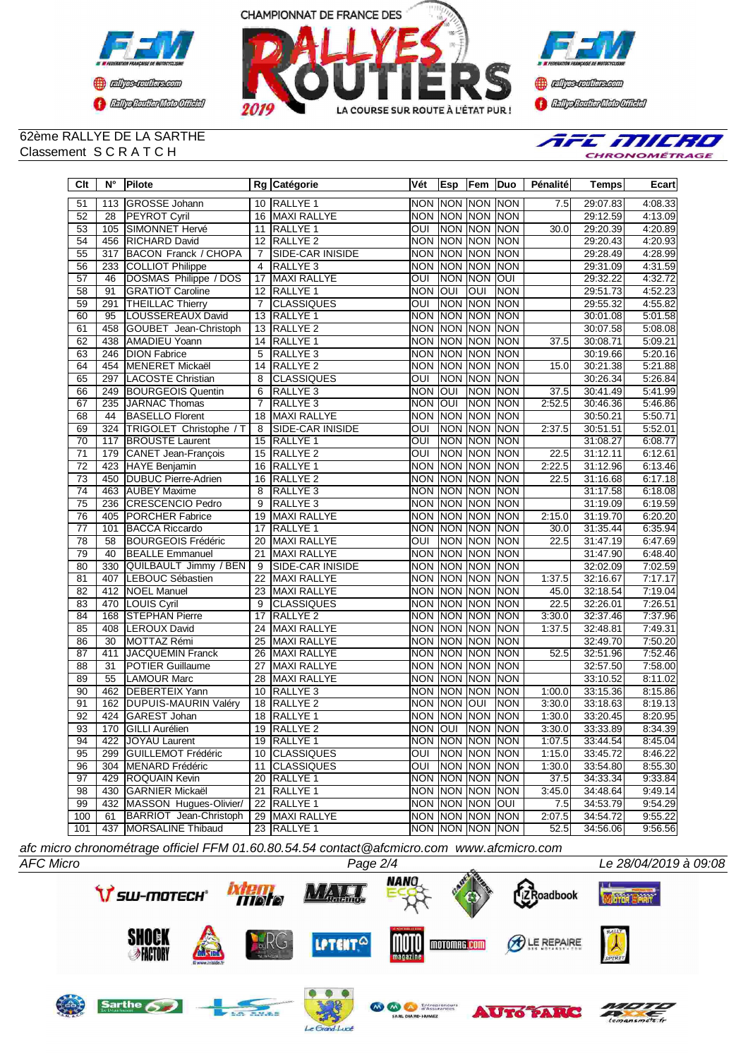



**Confederation CENTRAL MEDICATE** 

#### 62ème RALLYE DE LA SARTHE Classement S C R A T C H



| Clt             | N°  | Pilote                      |                | Rg Catégorie            | Vét                     | <b>Esp</b> | Fem Duo                 |             | Pénalité | <b>Temps</b> | Ecart   |
|-----------------|-----|-----------------------------|----------------|-------------------------|-------------------------|------------|-------------------------|-------------|----------|--------------|---------|
| 51              | 113 | <b>GROSSE Johann</b>        |                | 10 RALLYE 1             | <b>NON</b>              | NON NON    |                         | <b>NON</b>  | 7.5      | 29:07.83     | 4:08.33 |
| 52              | 28  | <b>PEYROT Cyril</b>         | 16             | <b>MAXI RALLYE</b>      |                         |            | NON NON NON NON         |             |          | 29:12.59     | 4:13.09 |
| 53              | 105 | SIMONNET Hervé              | 11             | RALLYE 1                | OUI                     |            | NON NON NON             |             | 30.0     | 29:20.39     | 4:20.89 |
| 54              | 456 | <b>RICHARD David</b>        | 12             | RALLYE <sub>2</sub>     | <b>NON</b>              |            | NON NON                 | <b>NON</b>  |          | 29:20.43     | 4:20.93 |
| 55              | 317 | <b>BACON Franck / CHOPA</b> | $\overline{7}$ | <b>SIDE-CAR INISIDE</b> | <b>NON</b>              | NON NON    |                         | <b>NON</b>  |          | 29:28.49     | 4:28.99 |
| 56              | 233 | <b>COLLIOT Philippe</b>     | 4              | RALLYE <sub>3</sub>     | <b>NON</b>              | <b>NON</b> | <b>NON</b>              | <b>NON</b>  |          | 29:31.09     | 4:31.59 |
| 57              | 46  | DOSMAS Philippe / DOS       | 17             | <b>MAXI RALLYE</b>      | $\overline{O}$          |            | NON NON                 | <b>OUI</b>  |          | 29:32.22     | 4:32.72 |
| 58              | 91  | <b>GRATIOT Caroline</b>     |                | 12 RALLYE 1             | <b>NON</b>              | lon        | $\overline{\text{OUI}}$ | <b>NON</b>  |          | 29:51.73     | 4:52.23 |
| 59              | 291 | <b>THEILLAC Thierry</b>     | $\overline{7}$ | <b>CLASSIQUES</b>       | OUI                     | <b>NON</b> | <b>NON</b>              | <b>NON</b>  |          | 29:55.32     | 4:55.82 |
| 60              | 95  | LOUSSEREAUX David           | 13             | <b>RALLYE 1</b>         | <b>NON</b>              |            | NON NON                 | <b>NON</b>  |          | 30:01.08     | 5:01.58 |
| 61              | 458 | GOUBET Jean-Christoph       | 13             | RALLYE <sub>2</sub>     | <b>NON</b>              | <b>NON</b> | <b>NON</b>              | <b>NON</b>  |          | 30:07.58     | 5:08.08 |
| 62              | 438 | <b>AMADIEU Yoann</b>        | 14             | RALLYE <sub>1</sub>     | <b>NON</b>              | <b>NON</b> | <b>NON</b>              | <b>NON</b>  | 37.5     | 30:08.71     | 5:09.21 |
| 63              |     | 246 DION Fabrice            | 5              | RALLYE <sub>3</sub>     | <b>NON</b>              |            | NON NON                 | <b>NON</b>  |          | 30:19.66     | 5:20.16 |
| 64              | 454 | MENERET Mickaël             | 14             | <b>RALLYE 2</b>         | <b>NON</b>              | <b>NON</b> | <b>NON</b>              | <b>NON</b>  | 15.0     | 30:21.38     | 5:21.88 |
| 65              |     | 297 LACOSTE Christian       | 8              | <b>CLASSIQUES</b>       | $\overline{OUI}$        |            | NON NON                 | <b>NON</b>  |          | 30:26.34     | 5:26.84 |
| 66              |     | 249 BOURGEOIS Quentin       | 6              | RALLYE <sub>3</sub>     | <b>NON</b>              | loui       | <b>NON</b>              | <b>NON</b>  | 37.5     | 30:41.49     | 5:41.99 |
| 67              | 235 | <b>JARNAC Thomas</b>        | 7              | RALLYE <sub>3</sub>     | <b>NON</b>              | <b>OUI</b> | <b>NON</b>              | <b>NON</b>  | 2:52.5   | 30:46.36     | 5:46.86 |
| 68              | 44  | <b>BASELLO Florent</b>      | 18             | MAXI RALLYE             | <b>NON</b>              |            | NON NON                 | <b>NON</b>  |          | 30:50.21     | 5:50.71 |
| 69              |     | 324 TRIGOLET Christophe / T | 8              | <b>SIDE-CAR INISIDE</b> | $\overline{\text{OUI}}$ | <b>NON</b> | <b>NON</b>              | <b>NON</b>  | 2:37.5   | 30:51.51     | 5:52.01 |
| 70              | 117 | <b>BROUSTE Laurent</b>      | 15             | RALLYE <sub>1</sub>     | OUI                     | <b>NON</b> | <b>NON</b>              | <b>INON</b> |          | 31:08.27     | 6:08.77 |
| $\overline{71}$ | 179 | CANET Jean-François         | 15             | <b>RALLYE 2</b>         | OUI                     |            | NON NON                 | <b>NON</b>  | 22.5     | 31:12.11     | 6:12.61 |
| $\overline{72}$ | 423 | HAYE Benjamin               | 16             | <b>RALLYE 1</b>         | <b>NON</b>              | <b>NON</b> | <b>NON</b>              | <b>NON</b>  | 2:22.5   | 31:12.96     | 6:13.46 |
| $\overline{73}$ | 450 | <b>DUBUC Pierre-Adrien</b>  | 16             | RALLYE <sub>2</sub>     | <b>NON</b>              | <b>NON</b> | <b>NON</b>              | <b>NON</b>  | 22.5     | 31:16.68     | 6:17.18 |
| $\overline{74}$ |     | 463 AUBEY Maxime            | 8              | RALLYE <sub>3</sub>     | <b>NON</b>              |            | <b>INON NON</b>         | <b>NON</b>  |          | 31:17.58     | 6:18.08 |
| $\overline{75}$ | 236 | <b>CRESCENCIO Pedro</b>     | 9              | RALLYE <sub>3</sub>     | <b>NON</b>              | NON        | <b>NON</b>              | <b>NON</b>  |          | 31:19.09     | 6:19.59 |
| 76              | 405 | PORCHER Fabrice             | 19             | <b>MAXI RALLYE</b>      | <b>NON</b>              | NON        | <b>NON</b>              | <b>NON</b>  | 2:15.0   | 31:19.70     | 6:20.20 |
| $\overline{77}$ | 101 | <b>BACCA Riccardo</b>       | 17             | RALLYE <sub>1</sub>     | <b>NON</b>              |            | NON NON                 | <b>NON</b>  | 30.0     | 31:35.44     | 6:35.94 |
| 78              | 58  | <b>BOURGEOIS Frédéric</b>   | 20             | <b>MAXI RALLYE</b>      | OUI                     | <b>NON</b> | <b>NON</b>              | <b>NON</b>  | 22.5     | 31:47.19     | 6:47.69 |
| 79              | 40  | <b>BEALLE Emmanuel</b>      | 21             | <b>MAXI RALLYE</b>      | <b>NON</b>              | <b>NON</b> | <b>NON</b>              | <b>NON</b>  |          | 31:47.90     | 6:48.40 |
| 80              | 330 | QUILBAULT Jimmy / BEN       | 9              | SIDE-CAR INISIDE        | <b>NON</b>              | <b>NON</b> | <b>NON</b>              | <b>NON</b>  |          | 32:02.09     | 7:02.59 |
| 81              | 407 | LEBOUC Sébastien            | 22             | <b>MAXI RALLYE</b>      | <b>NON</b>              | <b>NON</b> | <b>NON</b>              | <b>NON</b>  | 1:37.5   | 32:16.67     | 7:17.17 |
| 82              | 412 | <b>NOEL Manuel</b>          | 23             | <b>MAXI RALLYE</b>      | <b>NON</b>              | <b>NON</b> | <b>NON</b>              | <b>INON</b> | 45.0     | 32:18.54     | 7:19.04 |
| 83              |     | 470 LOUIS Cyril             | 9              | <b>CLASSIQUES</b>       | <b>NON</b>              | <b>NON</b> | <b>NON</b>              | NON         | 22.5     | 32:26.01     | 7:26.51 |
| 84              | 168 | <b>STEPHAN Pierre</b>       | 17             | <b>RALLYE 2</b>         | <b>NON</b>              | NON NON    |                         | <b>NON</b>  | 3:30.0   | 32:37.46     | 7:37.96 |
| 85              | 408 | <b>LEROUX David</b>         | 24             | <b>MAXI RALLYE</b>      | <b>NON</b>              |            | NON NON                 | <b>NON</b>  | 1:37.5   | 32:48.81     | 7:49.31 |
| 86              | 30  | MOTTAZ Rémi                 | 25             | <b>MAXI RALLYE</b>      | <b>NON</b>              | <b>NON</b> | <b>NON</b>              | NON         |          | 32:49.70     | 7:50.20 |
| 87              | 411 | <b>JACQUEMIN Franck</b>     | 26             | <b>MAXI RALLYE</b>      | <b>NON</b>              | NON NON    |                         | <b>NON</b>  | 52.5     | 32:51.96     | 7:52.46 |
| 88              | 31  | <b>POTIER Guillaume</b>     | 27             | <b>MAXI RALLYE</b>      | <b>NON</b>              | <b>NON</b> | <b>NON</b>              | <b>NON</b>  |          | 32:57.50     | 7:58.00 |
| 89              | 55  | <b>LAMOUR Marc</b>          | 28             | <b>MAXI RALLYE</b>      | <b>NON</b>              | <b>NON</b> | <b>NON</b>              | <b>NON</b>  |          | 33:10.52     | 8:11.02 |
| 90              |     | 462 DEBERTEIX Yann          | 10             | RALLYE <sub>3</sub>     | <b>NON</b>              | NON        | <b>NON</b>              | <b>NON</b>  | 1:00.0   | 33:15.36     | 8:15.86 |
| 91              | 162 | <b>DUPUIS-MAURIN Valéry</b> | 18             | RALLYE <sub>2</sub>     | <b>NON</b>              | <b>NON</b> | <b>INO</b>              | <b>NON</b>  | 3:30.0   | 33:18.63     | 8:19.13 |
| 92              | 424 | GAREST Johan                | 18             | <b>RALLYE 1</b>         | <b>NON</b>              | <b>NON</b> | <b>NON</b>              | <b>NON</b>  | 1:30.0   | 33:20.45     | 8:20.95 |
| 93              | 170 | <b>GILLI Aurélien</b>       | 19             | <b>RALLYE 2</b>         | <b>NON</b>              | ािण        | <b>NON</b>              | <b>NON</b>  | 3:30.0   | 33:33.89     | 8:34.39 |
| 94              |     | 422 JOYAU Laurent           |                | 19 RALLYE 1             |                         |            | NON INON INON INON      |             | 1:07.5   | 33:44.54     | 8:45.04 |
| 95              |     | 299 GUILLEMOT Frédéric      |                | 10 CLASSIQUES           | OUI                     |            | NON NON NON             |             | 1:15.0   | 33:45.72     | 8:46.22 |
| 96              |     | 304 MENARD Frédéric         | 11             | <b>CLASSIQUES</b>       | OUI                     |            | <b>NON NON NON</b>      |             | 1:30.0   | 33:54.80     | 8:55.30 |
| 97              |     | 429 ROQUAIN Kevin           |                | 20 RALLYE 1             |                         |            | NON NON NON NON         |             | 37.5     | 34:33.34     | 9:33.84 |
| 98              |     | 430 GARNIER Mickaël         |                | 21 RALLYE 1             |                         |            | NON NON NON NON         |             | 3:45.0   | 34:48.64     | 9:49.14 |
| 99              |     | 432 MASSON Hugues-Olivier/  | 22             | <b>RALLYE 1</b>         |                         |            | NON NON NON OUI         |             | 7.5      | 34:53.79     | 9:54.29 |
| 100             | 61  | BARRIOT Jean-Christoph      |                | 29 MAXI RALLYE          |                         |            | NON NON NON NON         |             | 2:07.5   | 34:54.72     | 9:55.22 |
| 101             |     | 437 MORSALINE Thibaud       |                | 23 RALLYE 1             |                         |            | NON NON NON NON         |             | 52.5     | 34:56.06     | 9:56.56 |

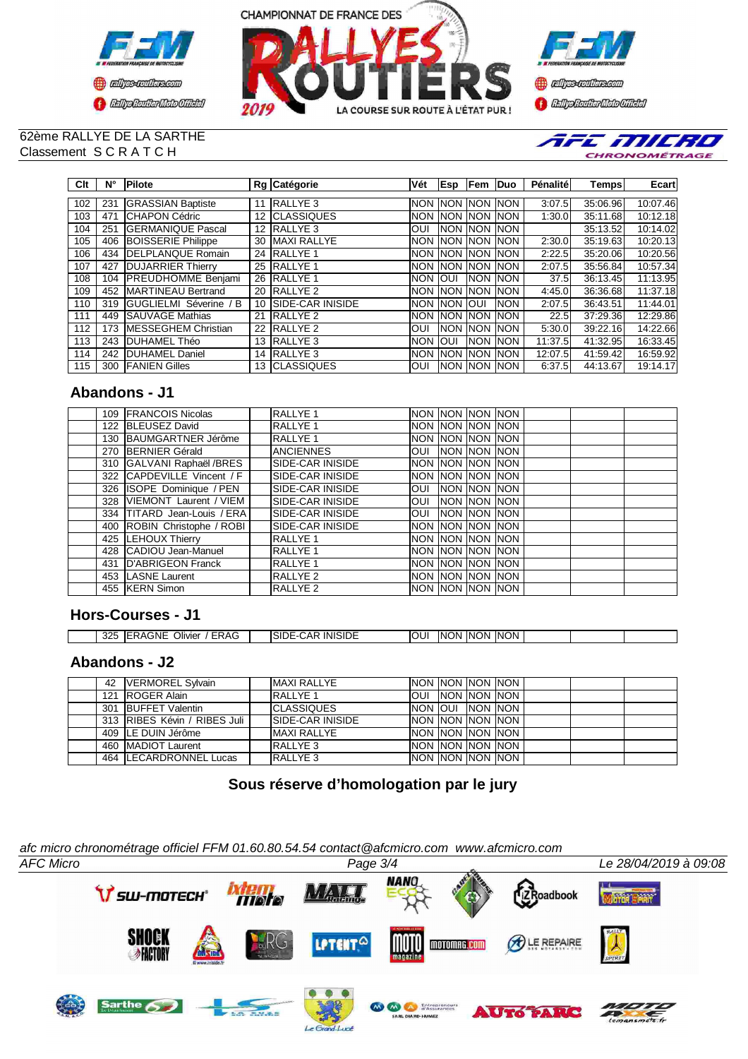





#### 62ème RALLYE DE LA SARTHE Classement S C R A T C H



| Clt | N°  | <b>Pilote</b>                 |    | Rg Catégorie            | Vét        | <b>Esp</b>       | Fem Duo    |             | Pénalité | Temps    | Ecart    |
|-----|-----|-------------------------------|----|-------------------------|------------|------------------|------------|-------------|----------|----------|----------|
|     |     |                               |    |                         |            |                  |            |             |          |          |          |
| 102 | 231 | <b>GRASSIAN Baptiste</b>      | 11 | RALLYE <sub>3</sub>     | <b>NON</b> | <b>INON</b>      | <b>NON</b> | <b>INON</b> | 3:07.5   | 35:06.96 | 10:07.46 |
| 103 | 471 | <b>CHAPON Cédric</b>          | 12 | <b>CLASSIQUES</b>       | <b>NON</b> | <b>INON</b>      | <b>NON</b> | <b>NON</b>  | 1:30.0   | 35:11.68 | 10:12.18 |
| 104 | 251 | <b>GERMANIQUE Pascal</b>      | 12 | <b>RALLYE 3</b>         | OUI        | <b>INON INON</b> |            | <b>INON</b> |          | 35:13.52 | 10:14.02 |
| 105 | 406 | <b>BOISSERIE Philippe</b>     | 30 | <b>MAXI RALLYE</b>      | <b>NON</b> | <b>INON</b>      | <b>NON</b> | <b>INON</b> | 2:30.0   | 35:19.63 | 10:20.13 |
| 106 | 434 | <b>DELPLANQUE Romain</b>      | 24 | <b>RALLYE 1</b>         | <b>NON</b> | <b>INON</b>      | <b>NON</b> | <b>INON</b> | 2:22.5   | 35:20.06 | 10:20.56 |
| 107 | 427 | <b>DUJARRIER Thierry</b>      | 25 | <b>RALLYE 1</b>         | <b>NON</b> | <b>INON</b>      | <b>NON</b> | <b>INON</b> | 2:07.5   | 35:56.84 | 10:57.34 |
| 108 | 104 | <b>PREUDHOMME Benjami</b>     | 26 | <b>RALLYE 1</b>         | <b>NON</b> | loui             | <b>NON</b> | <b>INON</b> | 37.5     | 36:13.45 | 11:13.95 |
| 109 | 452 | <b>MARTINEAU Bertrand</b>     | 20 | RALLYE <sub>2</sub>     | <b>NON</b> | <b>INON</b>      | <b>NON</b> | <b>INON</b> | 4:45.0   | 36:36.68 | 11:37.18 |
| 110 | 319 | <b>GUGLIELMI Séverine / B</b> | 10 | <b>SIDE-CAR INISIDE</b> | <b>NON</b> | <b>INON</b>      | <b>OUI</b> | <b>INON</b> | 2:07.5   | 36:43.51 | 11:44.01 |
| 111 | 449 | <b>SAUVAGE Mathias</b>        | 21 | <b>RALLYE 2</b>         | <b>NON</b> | <b>INON</b>      | <b>NON</b> | <b>INON</b> | 22.5     | 37:29.36 | 12:29.86 |
| 112 | 173 | <b>IMESSEGHEM Christian</b>   | 22 | <b>RALLYE 2</b>         | <b>OUI</b> | <b>INON</b>      | <b>NON</b> | <b>INON</b> | 5:30.0   | 39:22.16 | 14:22.66 |
| 113 | 243 | <b>DUHAMEL Théo</b>           | 13 | <b>RALLYE 3</b>         | <b>NON</b> | IOUI             | <b>NON</b> | <b>NON</b>  | 11:37.5  | 41:32.95 | 16:33.45 |
| 114 | 242 | <b>DUHAMEL Daniel</b>         | 14 | RALLYE <sub>3</sub>     | <b>NON</b> | <b>INON</b>      | <b>NON</b> | <b>INON</b> | 12:07.5  | 41:59.42 | 16:59.92 |
| 115 | 300 | <b>FANIEN Gilles</b>          | 13 | <b>ICLASSIQUES</b>      | <b>OUI</b> | <b>INON INON</b> |            | <b>INON</b> | 6:37.5   | 44:13.67 | 19:14.17 |

# **Abandons - J1**

|  | 109 FRANCOIS Nicolas        | RALLYE <sub>1</sub>      | Inon Inon Inon Inon |  |  |  |
|--|-----------------------------|--------------------------|---------------------|--|--|--|
|  | 122 BLEUSEZ David           | RALLYE <sub>1</sub>      | Inon Inon Inon Inon |  |  |  |
|  | 130 BAUMGARTNER Jérôme      | RALLYE 1                 | Inon Inon Inon Inon |  |  |  |
|  | 270 BERNIER Gérald          | <b>ANCIENNES</b>         | OUI INON INON INON  |  |  |  |
|  | 310 GALVANI Raphaël /BRES   | <b>SIDE-CAR INISIDE</b>  | INON INON INON INON |  |  |  |
|  | 322 CAPDEVILLE Vincent / F  | <b>ISIDE-CAR INISIDE</b> | INON INON INON INON |  |  |  |
|  | 326 ISOPE Dominique / PEN   | SIDE-CAR INISIDE         | Ioui Inon Inon Inon |  |  |  |
|  | 328 VIEMONT Laurent / VIEM  | SIDE-CAR INISIDE         | Ioui Inon Inon Inon |  |  |  |
|  | 334 TITARD Jean-Louis / ERA | <b>SIDE-CAR INISIDE</b>  | Ioui Inon Inon Inon |  |  |  |
|  | 400 ROBIN Christophe / ROBI | SIDE-CAR INISIDE         | Inon Inon Inon Inon |  |  |  |
|  | 425 LEHOUX Thierry          | RALLYE <sub>1</sub>      | Inon Inon Inon Inon |  |  |  |
|  | 428 CADIOU Jean-Manuel      | RALLYE 1                 | Inon Inon Inon Inon |  |  |  |
|  | 431 D'ABRIGEON Franck       | RALLYE <sub>1</sub>      | NON INON INON INON  |  |  |  |
|  | 453 LASNE Laurent           | RALLYE <sub>2</sub>      | Inon Inon Inon Inon |  |  |  |
|  | 455 KERN Simon              | <b>RALLYE 2</b>          | Inon Inon Inon Inon |  |  |  |

# **Hors-Courses - J1**

| 325 | Olivier<br>،GNE<br>ERAG<br>◞<br>-- | <b>INISIDE</b><br>JAF<br>ינ ווה<br>_____ | OU | אר<br>INO | <b>INON</b> | <b>INON</b><br>' INC |  |  |
|-----|------------------------------------|------------------------------------------|----|-----------|-------------|----------------------|--|--|

### **Abandons - J2**

|  | 42   VERMOREL Sylvain        | <b>IMAXI RALLYE</b> | INON INON INON INON        |  |  |  |
|--|------------------------------|---------------------|----------------------------|--|--|--|
|  | 121 ROGER Alain              | <b>RALLYE 1</b>     | <b>OUI INON INON INON</b>  |  |  |  |
|  | 301 BUFFET Valentin          | <b>CLASSIQUES</b>   | NON OUI NON NON            |  |  |  |
|  | 313 RIBES Kévin / RIBES Juli | ISIDE-CAR INISIDE   | NON NON NON NON            |  |  |  |
|  | 409 LE DUIN Jérôme           | <b>MAXI RALLYE</b>  | <b>INON INON INON INON</b> |  |  |  |
|  | 460 MADIOT Laurent           | RALLYE 3            | INON INON INON INON        |  |  |  |
|  | 464 ILECARDRONNEL Lucas      | RALLYE <sub>3</sub> | NON INON INON INON         |  |  |  |

# **Sous réserve d'homologation par le jury**